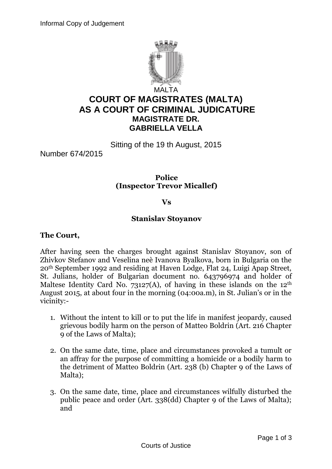

# **COURT OF MAGISTRATES (MALTA) AS A COURT OF CRIMINAL JUDICATURE MAGISTRATE DR. GABRIELLA VELLA**

Sitting of the 19 th August, 2015

Number 674/2015

**Police (Inspector Trevor Micallef)**

#### **Vs**

#### **Stanislav Stoyanov**

#### **The Court,**

After having seen the charges brought against Stanislav Stoyanov, son of Zhivkov Stefanov and Veselina neè Ivanova Byalkova, born in Bulgaria on the 20th September 1992 and residing at Haven Lodge, Flat 24, Luigi Apap Street, St. Julians, holder of Bulgarian document no. 643796974 and holder of Maltese Identity Card No. 73127(A), of having in these islands on the  $12<sup>th</sup>$ August 2015, at about four in the morning (04:00a.m), in St. Julian's or in the vicinity:-

- 1. Without the intent to kill or to put the life in manifest jeopardy, caused grievous bodily harm on the person of Matteo Boldrin (Art. 216 Chapter 9 of the Laws of Malta);
- 2. On the same date, time, place and circumstances provoked a tumult or an affray for the purpose of committing a homicide or a bodily harm to the detriment of Matteo Boldrin (Art. 238 (b) Chapter 9 of the Laws of Malta);
- 3. On the same date, time, place and circumstances wilfully disturbed the public peace and order (Art. 338(dd) Chapter 9 of the Laws of Malta); and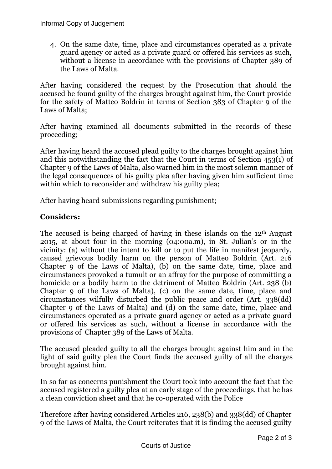4. On the same date, time, place and circumstances operated as a private guard agency or acted as a private guard or offered his services as such, without a license in accordance with the provisions of Chapter 389 of the Laws of Malta.

After having considered the request by the Prosecution that should the accused be found guilty of the charges brought against him, the Court provide for the safety of Matteo Boldrin in terms of Section 383 of Chapter 9 of the Laws of Malta;

After having examined all documents submitted in the records of these proceeding;

After having heard the accused plead guilty to the charges brought against him and this notwithstanding the fact that the Court in terms of Section 453(1) of Chapter 9 of the Laws of Malta, also warned him in the most solemn manner of the legal consequences of his guilty plea after having given him sufficient time within which to reconsider and withdraw his guilty plea;

After having heard submissions regarding punishment;

### **Considers:**

The accused is being charged of having in these islands on the 12th August 2015, at about four in the morning (04:00a.m), in St. Julian's or in the vicinity: (a) without the intent to kill or to put the life in manifest jeopardy, caused grievous bodily harm on the person of Matteo Boldrin (Art. 216 Chapter 9 of the Laws of Malta), (b) on the same date, time, place and circumstances provoked a tumult or an affray for the purpose of committing a homicide or a bodily harm to the detriment of Matteo Boldrin (Art. 238 (b) Chapter 9 of the Laws of Malta), (c) on the same date, time, place and circumstances wilfully disturbed the public peace and order (Art. 338(dd) Chapter 9 of the Laws of Malta) and (d) on the same date, time, place and circumstances operated as a private guard agency or acted as a private guard or offered his services as such, without a license in accordance with the provisions of Chapter 389 of the Laws of Malta.

The accused pleaded guilty to all the charges brought against him and in the light of said guilty plea the Court finds the accused guilty of all the charges brought against him.

In so far as concerns punishment the Court took into account the fact that the accused registered a guilty plea at an early stage of the proceedings, that he has a clean conviction sheet and that he co-operated with the Police

Therefore after having considered Articles 216, 238(b) and 338(dd) of Chapter 9 of the Laws of Malta, the Court reiterates that it is finding the accused guilty